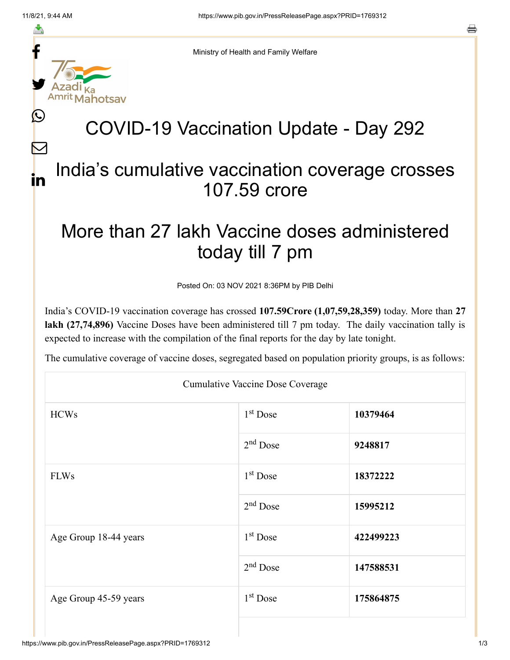f

≛

y.

ahotsav

Ŀ

 $\bm{\nabla}$ 

in



## COVID-19 Vaccination Update - Day 292

## India's cumulative vaccination coverage crosses 107.59 crore

## More than 27 lakh Vaccine doses administered today till 7 pm

Posted On: 03 NOV 2021 8:36PM by PIB Delhi

India's COVID-19 vaccination coverage has crossed **107.59Crore (1,07,59,28,359)** today. More than **27 lakh (27,74,896)** Vaccine Doses have been administered till 7 pm today. The daily vaccination tally is expected to increase with the compilation of the final reports for the day by late tonight.

The cumulative coverage of vaccine doses, segregated based on population priority groups, is as follows:

| <b>Cumulative Vaccine Dose Coverage</b> |            |           |  |  |
|-----------------------------------------|------------|-----------|--|--|
| <b>HCWs</b>                             | $1st$ Dose | 10379464  |  |  |
|                                         | $2nd$ Dose | 9248817   |  |  |
| <b>FLWs</b>                             | $1st$ Dose | 18372222  |  |  |
|                                         | $2nd$ Dose | 15995212  |  |  |
| Age Group 18-44 years                   | $1st$ Dose | 422499223 |  |  |
|                                         | $2nd$ Dose | 147588531 |  |  |
| Age Group 45-59 years                   | $1st$ Dose | 175864875 |  |  |
|                                         |            |           |  |  |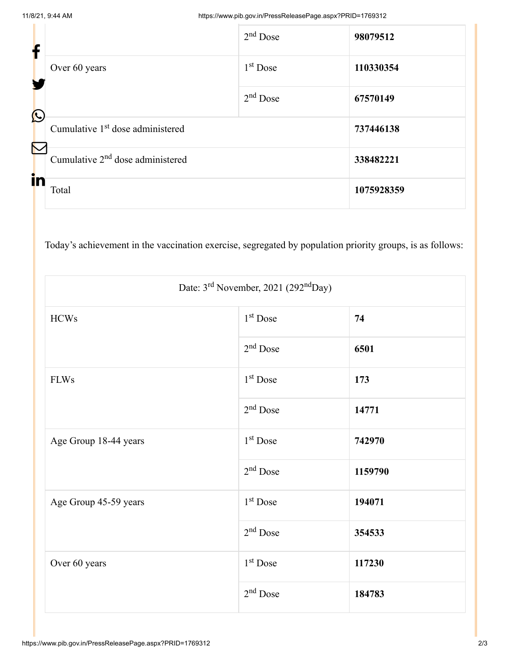| f                     |                                              | $2nd$ Dose | 98079512   |
|-----------------------|----------------------------------------------|------------|------------|
|                       | Over 60 years                                | $1st$ Dose | 110330354  |
| $\bigcirc$            |                                              | $2nd$ Dose | 67570149   |
| $\boldsymbol{\nabla}$ | Cumulative 1 <sup>st</sup> dose administered |            | 737446138  |
|                       | Cumulative 2 <sup>nd</sup> dose administered | 338482221  |            |
| in                    | Total                                        |            | 1075928359 |

Today's achievement in the vaccination exercise, segregated by population priority groups, is as follows:

| Date: 3 <sup>rd</sup> November, 2021 (292 <sup>nd</sup> Day) |                      |         |  |  |
|--------------------------------------------------------------|----------------------|---------|--|--|
| <b>HCWs</b>                                                  | 1 <sup>st</sup> Dose | 74      |  |  |
|                                                              | $2nd$ Dose           | 6501    |  |  |
| <b>FLWs</b>                                                  | 1 <sup>st</sup> Dose | 173     |  |  |
|                                                              | $2nd$ Dose           | 14771   |  |  |
| Age Group 18-44 years                                        | 1 <sup>st</sup> Dose | 742970  |  |  |
|                                                              | $2nd$ Dose           | 1159790 |  |  |
| Age Group 45-59 years                                        | 1 <sup>st</sup> Dose | 194071  |  |  |
|                                                              | $2nd$ Dose           | 354533  |  |  |
| Over 60 years                                                | $1st$ Dose           | 117230  |  |  |
|                                                              | $2nd$ Dose           | 184783  |  |  |